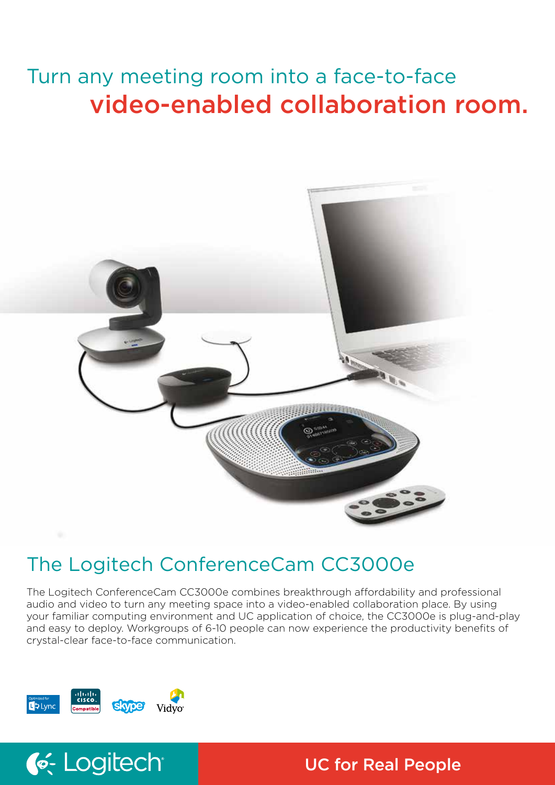# Turn any meeting room into a face-to-face video-enabled collaboration room.



# The Logitech ConferenceCam CC3000e

The Logitech ConferenceCam CC3000e combines breakthrough affordability and professional audio and video to turn any meeting space into a video-enabled collaboration place. By using your familiar computing environment and UC application of choice, the CC3000e is plug-and-play and easy to deploy. Workgroups of 6-10 people can now experience the productivity benefits of crystal-clear face-to-face communication.



C. Logitech

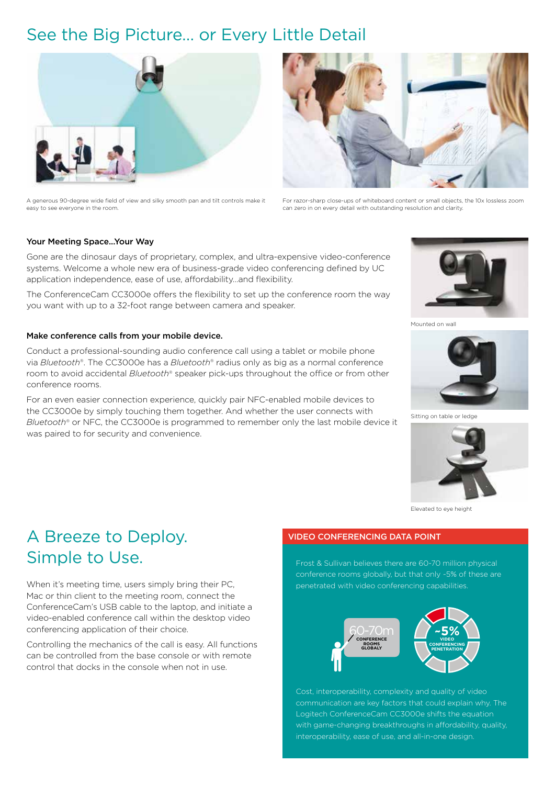# See the Big Picture… or Every Little Detail



A generous 90-degree wide field of view and silky smooth pan and tilt controls make it easy to see everyone in the room.

For razor-sharp close-ups of whiteboard content or small objects, the 10x lossless zoom can zero in on every detail with outstanding resolution and clarity.

# Your Meeting Space...Your Way

Gone are the dinosaur days of proprietary, complex, and ultra-expensive video-conference systems. Welcome a whole new era of business-grade video conferencing defined by UC application independence, ease of use, affordability…and flexibility.

The ConferenceCam CC3000e offers the flexibility to set up the conference room the way you want with up to a 32-foot range between camera and speaker.

## Make conference calls from your mobile device.

Conduct a professional-sounding audio conference call using a tablet or mobile phone via *Bluetooth®*. The CC3000e has a *Bluetooth®* radius only as big as a normal conference room to avoid accidental *Bluetooth®* speaker pick-ups throughout the office or from other conference rooms.

For an even easier connection experience, quickly pair NFC-enabled mobile devices to the CC3000e by simply touching them together. And whether the user connects with *Bluetooth®* or NFC, the CC3000e is programmed to remember only the last mobile device it was paired to for security and convenience.



Mounted on wall



Sitting on table or



Elevated to eye height

# A Breeze to Deploy. Simple to Use.

When it's meeting time, users simply bring their PC, Mac or thin client to the meeting room, connect the ConferenceCam's USB cable to the laptop, and initiate a video-enabled conference call within the desktop video conferencing application of their choice.

Controlling the mechanics of the call is easy. All functions can be controlled from the base console or with remote control that docks in the console when not in use.

# VIDEO CONFERENCING DATA POINT

Frost & Sullivan believes there are 60-70 million physical conference rooms globally, but that only ~5% of these are penetrated with video conferencing capabilities.



Cost, interoperability, complexity and quality of video communication are key factors that could explain why. The Logitech ConferenceCam CC3000e shifts the equation with game-changing breakthroughs in affordability, quality, interoperability, ease of use, and all-in-one design.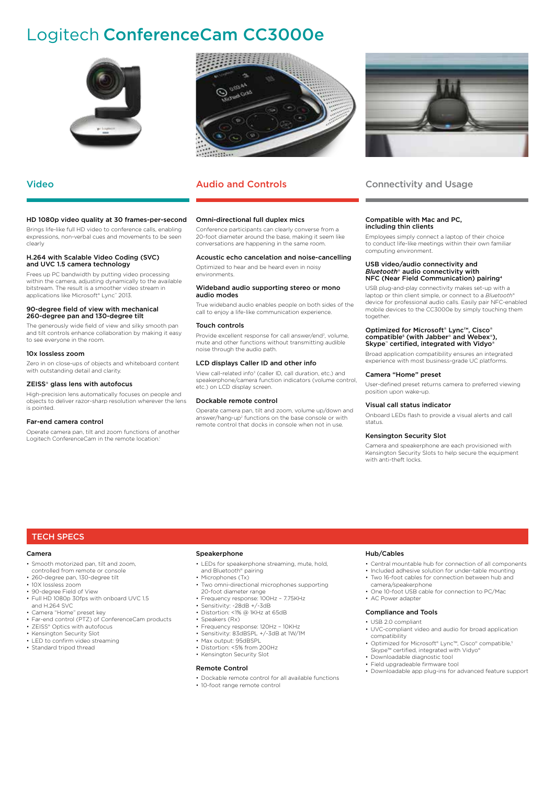# Logitech ConferenceCam CC3000e



### HD 1080p video quality at 30 frames-per-second

Brings life-like full HD video to conference calls, enabling expressions, non-verbal cues and movements to be seen clearly

#### H.264 with Scalable Video Coding (SVC) and UVC 1.5 camera technology

Frees up PC bandwidth by putting video processing within the camera, adjusting dynamically to the available bitstream. The result is a smoother video stream in applications like Microsoft® Lync™ 2013.

#### 90-degree field of view with mechanical 260-degree pan and 130-degree tilt

The generously wide field of view and silky smooth pan and tilt controls enhance collaboration by making it easy to see everyone in the room.

### 10x lossless zoom

Zero in on close-ups of objects and whiteboard content with outstanding detail and clarity.

#### ZEISS® glass lens with autofocus

High-precision lens automatically focuses on people and objects to deliver razor-sharp resolution wherever the lens is pointed.

#### Far-end camera control

Operate camera pan, tilt and zoom functions of another Logitech ConferenceCam in the remote location.



# Video **Audio and Controls**

#### Omni-directional full duplex mics

Conference participants can clearly converse from a 20-foot diameter around the base, making it seem like conversations are happening in the same room.

#### Acoustic echo cancelation and noise-cancelling

Optimized to hear and be heard even in noisy environments.

#### Wideband audio supporting stereo or mono audio modes

True wideband audio enables people on both sides of the call to enjoy a life-like communication experience.

#### Touch controls

Provide excellent response for call answer/end<sup>2</sup>, volume, mute and other functions without transmitting audible noise through the audio path.

### LCD displays Caller ID and other info

View call-related info<sup>3</sup> (caller ID, call duration, etc.) and speakerphone/camera function indicators (volume control, etc.) on LCD display screen.

#### Dockable remote control

Operate camera pan, tilt and zoom, volume up/down and answer/hang-up<sup>2</sup> functions on the base console or with remote control that docks in console when not in use.



# Connectivity and Usage

#### Compatible with Mac and PC, including thin clients

Employees simply connect a laptop of their choice to conduct life-like meetings within their own familiar computing environment.

#### USB video/audio connectivity and *Bluetooth®* audio connectivity with NFC (Near Field Communication) pairing4

USB plug-and-play connectivity makes set-up with a laptop or thin client simple, or connect to a *Bluetooth®* device for professional audio calls. Easily pair NFC-enabled mobile devices to the CC3000e by simply touching them together.

# Optimized for Microsoft® Lync™, Cisco® compatible<sup>5</sup> (with Jabber® and Webex®),<br>Skype™ certified, integrated with Vidyo®

Broad application compatibility ensures an integrated experience with most business-grade UC platforms.

### Camera "Home" preset

User-defined preset returns camera to preferred viewing position upon wake-up.

#### Visual call status indicator

Onboard LEDs flash to provide a visual alerts and call status.

#### Kensington Security Slot

Camera and speakerphone are each provisioned with Kensington Security Slots to help secure the equipment with anti-theft locks.

# TECH SPECS

### Camera

- Smooth motorized pan, tilt and zoom, controlled from remote or console
- 260-degree pan, 130-degree tilt
- 10X lossless zoom
- 90-degree Field of View
- Full HD 1080p 30fps with onboard UVC 1.5 and H.264 SVC
- Camera "Home" preset key
- Far-end control (PTZ) of ConferenceCam products
- **ZEISS®** Optics with autofocus
- Kensington Security Slot
- LED to confirm video streaming • Standard tripod thread

### Speakerphone

- LEDs for speakerphone streaming, mute, hold, and Bluetooth® pairing
- Microphones (Tx)
- Two omni-directional microphones supporting 20-foot diameter range
- Frequency response: 100Hz 7.75KHz Sensitivity: -28dB +/-3dB • Distortion: <1% @ 1KHz at 65dB
- Speakers (Rx)
- Frequency response: 120Hz 10KHz
- Sensitivity: 83dBSPL +/-3dB at 1W/1M
- Max output: 95dBSPL
- Distortion: <5% from 200Hz
- Kensington Security Slot

## Remote Control

• Dockable remote control for all available functions

## Hub/Cables

- Central mountable hub for connection of all components
- Included adhesive solution for under-table mounting
- Two 16-foot cables for connection between hub and camera/speakerphone • One 10-foot USB cable for connection to PC/Mac
- AC Power adapter
- Compliance and Tools
- USB 2.0 compliant
- UVC-compliant video and audio for broad application compatibility
- Optimized for Microsoft® Lync™, Cisco® compatible,5 Skype™ certified, integrated with Vidyo® • Downloadable diagnostic tool
- Field upgradeable firmware tool
- Downloadable app plug-ins for advanced feature support
- 
- 10-foot range remote control